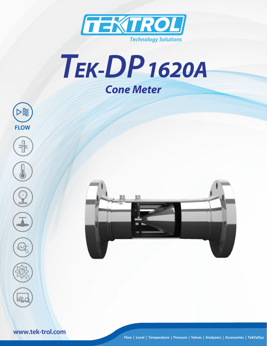







**www.tek-trol.com**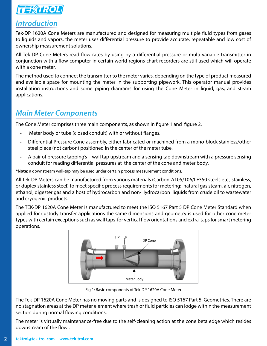

# *Introduction*

Tek-DP 1620A Cone Meters are manufactured and designed for measuring multiple fluid types from gases to liquids and vapors, the meter uses differential pressure to provide accurate, repeatable and low cost of ownership measurement solutions.

All Tek-DP Cone Meters read flow rates by using by a differential pressure or multi-variable transmitter in conjunction with a flow computer in certain world regions chart recorders are still used which will operate with a cone meter.

The method used to connect the transmitter to the meter varies, depending on the type of product measured and available space for mounting the meter in the supporting pipework. This operator manual provides installation instructions and some piping diagrams for using the Cone Meter in liquid, gas, and steam applications.

# *Main Meter Components*

The Cone Meter comprises three main components, as shown in figure 1 and figure 2.

- Meter body or tube (closed conduit) with or without flanges.
- Differential Pressure Cone assembly, either fabricated or machined from a mono-block stainless/other steel piece (not carbon) positioned in the center of the meter tube.
- A pair of pressure tapping's wall tap upstream and a sensing tap downstream with a pressure sensing conduit for reading differential pressures at the center of the cone and meter body.

**\*Note:** a downstream wall-tap may be used under certain process measurement conditions.

All Tek-DP Meters can be manufactured from various materials (Carbon-A105/106/LF350 steels etc., stainless, or duplex stainless steel) to meet specific process requirements for metering: natural gas steam, air, nitrogen, ethanol, digester gas and a host of hydrocarbon and non-Hydrocarbon liquids from crude oil to wastewater and cryogenic products.

The TEK-DP 1620A Cone Meter is manufactured to meet the ISO 5167 Part 5 DP Cone Meter Standard when applied for custody transfer applications the same dimensions and geometry is used for other cone meter types with certain exceptions such as wall taps for vertical flow orientations and extra taps for smart metering operations.



Fig 1: Basic components of Tek-DP 1620A Cone Meter

The Tek-DP 1620A Cone Meter has no moving parts and is designed to ISO 5167 Part 5 Geometries. There are no stagnation areas at the DP meter element where trash or fluid particles can lodge within the measurement section during normal flowing conditions.

The meter is virtually maintenance-free due to the self-cleaning action at the cone beta edge which resides downstream of the flow .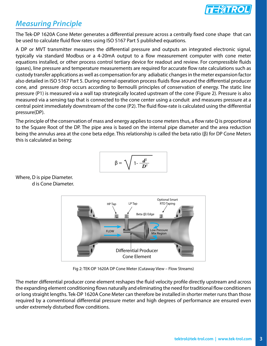![](_page_2_Picture_0.jpeg)

# *Measuring Principle*

The Tek-DP 1620A Cone Meter generates a differential pressure across a centrally fixed cone shape that can be used to calculate fluid flow rates using ISO 5167 Part 5 published equations.

A DP or MVT transmitter measures the differential pressure and outputs an integrated electronic signal, typically via standard Modbus or a 4-20mA output to a flow measurement computer with cone meter equations installed, or other process control tertiary device for readout and review. For compressible fluids (gases), line pressure and temperature measurements are required for accurate flow rate calculations such as custody transfer applications as well as compensation for any adiabatic changes in the meter expansion factor also detailed in ISO 5167 Part 5. During normal operation process fluids flow around the differential producer cone, and pressure drop occurs according to Bernoulli principles of conservation of energy. The static line pressure (P1) is measured via a wall tap strategically located upstream of the cone (Figure 2). Pressure is also measured via a sensing tap that is connected to the cone center using a conduit and measures pressure at a central point immediately downstream of the cone (P2). The fluid flow-rate is calculated using the differential pressure(DP).

The principle of the conservation of mass and energy applies to cone meters thus, a flow rate Q is proportional to the Square Root of the DP. The pipe area is based on the internal pipe diameter and the area reduction being the annulus area at the cone beta edge. This relationship is called the beta ratio (β) for DP Cone Meters this is calculated as being:

$$
\beta = \sqrt{1 - \frac{d^2}{D^2}}
$$

Where, D is pipe Diameter. d is Cone Diameter.

![](_page_2_Figure_7.jpeg)

Fig 2: TEK-DP 1620A DP Cone Meter (Cutaway View – Flow Streams)

The meter differential producer cone element reshapes the fluid velocity profile directly upstream and across the expanding element conditioning flows naturally and eliminating the need for traditional flow conditioners or long straight lengths. Tek-DP 1620A Cone Meter can therefore be installed in shorter meter runs than those required by a conventional differential pressure meter and high degrees of performance are ensured even under extremely disturbed flow conditions.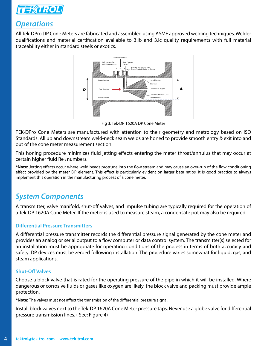![](_page_3_Picture_0.jpeg)

# *Operations*

All Tek-DPro DP Cone Meters are fabricated and assembled using ASME approved welding techniques. Welder qualifications and material certification available to 3.lb and 3.lc quality requirements with full material traceability either in standard steels or exotics.

![](_page_3_Figure_3.jpeg)

Fig 3: Tek-DP 1620A DP Cone Meter

TEK-DPro Cone Meters are manufactured with attention to their geometry and metrology based on ISO Standards. All up and downstream weld-neck seam welds are honed to provide smooth entry & exit into and out of the cone meter measurement section.

This honing procedure minimizes fluid jetting effects entering the meter throat/annulus that may occur at certain higher fluid  $Re<sub>D</sub>$  numbers.

**\*Note:** Jetting effects occur where weld beads protrude into the flow stream and may cause an over-run of the flow conditioning effect provided by the meter DP element. This effect is particularly evident on larger beta ratios, it is good practice to always implement this operation in the manufacturing process of a cone meter.

# *System Components*

A transmitter, valve manifold, shut-off valves, and impulse tubing are typically required for the operation of a Tek-DP 1620A Cone Meter. If the meter is used to measure steam, a condensate pot may also be required.

### **Differential Pressure Transmitters**

A differential pressure transmitter records the differential pressure signal generated by the cone meter and provides an analog or serial output to a flow computer or data control system. The transmitter(s) selected for an installation must be appropriate for operating conditions of the process in terms of both accuracy and safety. DP devices must be zeroed following installation. The procedure varies somewhat for liquid, gas, and steam applications.

### **Shut-Off Valves**

Choose a block valve that is rated for the operating pressure of the pipe in which it will be installed. Where dangerous or corrosive fluids or gases like oxygen are likely, the block valve and packing must provide ample protection.

**\*Note:** The valves must not affect the transmission of the differential pressure signal.

Install block valves next to the Tek-DP 1620A Cone Meter pressure taps. Never use a globe valve for differential pressure transmission lines. ( See: Figure 4)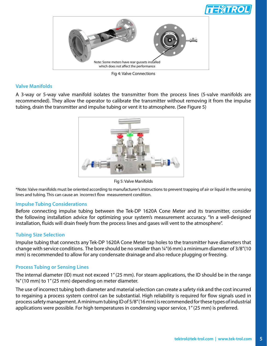![](_page_4_Picture_0.jpeg)

![](_page_4_Picture_1.jpeg)

Fig 4: Valve Connections

### **Valve Manifolds**

A 3-way or 5-way valve manifold isolates the transmitter from the process lines (5-valve manifolds are recommended). They allow the operator to calibrate the transmitter without removing it from the impulse tubing, drain the transmitter and impulse tubing or vent it to atmosphere. (See Figure 5)

![](_page_4_Picture_5.jpeg)

Fig 5: Valve Manifolds

\*Note: Valve manifolds must be oriented according to manufacturer's instructions to prevent trapping of air or liquid in the sensing lines and tubing. This can cause an incorrect flow measurement condition.

### **Impulse Tubing Considerations**

Before connecting impulse tubing between the Tek-DP 1620A Cone Meter and its transmitter, consider the following installation advice for optimizing your system's measurement accuracy. "In a well-designed installation, fluids will drain freely from the process lines and gases will vent to the atmosphere".

### **Tubing Size Selection**

Impulse tubing that connects any Tek-DP 1620A Cone Meter tap holes to the transmitter have diameters that change with service conditions. The bore should be no smaller than ¼"(6 mm) a minimum diameter of 3/8"(10 mm) is recommended to allow for any condensate drainage and also reduce plugging or freezing.

### **Process Tubing or Sensing Lines**

The internal diameter (ID) must not exceed 1" (25 mm). For steam applications, the ID should be in the range 3/8" (10 mm) to 1" (25 mm) depending on meter diameter.

The use of incorrect tubing both diameter and material selection can create a safety risk and the cost incurred to regaining a process system control can be substantial. High reliability is required for flow signals used in process safety management. A minimum tubing ID of 5/8" (16 mm) is recommended for these types of industrial applications were possible. For high temperatures in condensing vapor service, 1" (25 mm) is preferred.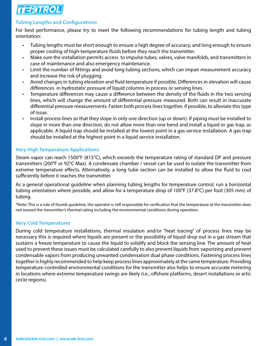![](_page_5_Picture_0.jpeg)

### **Tubing Lengths and Configurations**

For best performance, please try to meet the following recommendations for tubing length and tubing orientation:

- Tubing lengths must be short enough to ensure a high degree of accuracy, and long enough to ensure proper cooling of high-temperature fluids before they reach the transmitter.
- Make sure the installation permits access to impulse tubes, valves, valve manifolds, and transmitters in case of maintenance and also emergency maintenance.
- Limit the number of fittings and avoid long tubing sections, which can impair measurement accuracy and increase the risk of plugging.
- Avoid changes in tubing elevation and fluid temperature if possible. Differences in elevation will cause differences in hydrostatic pressure of liquid columns in process or sensing lines.
- Temperature differences may cause a difference between the density of the fluids in the two sensing lines, which will change the amount of differential pressure measured. Both can result in inaccurate differential pressure measurements. Fasten both process lines together, if possible, to alleviate this type of issue.
- Install process lines so that they slope in only one direction (up or down). If piping must be installed to slope in more than one direction, do not allow more than one bend and install a liquid or gas trap, as applicable. A liquid trap should be installed at the lowest point in a gas service installation. A gas trap should be installed at the highest point in a liquid service installation.

### **Very High Temperature Applications**

Steam vapor can reach 1500°F (815°C), which exceeds the temperature rating of standard DP and pressure transmitters (200°F or 92°C Max). A condensate chamber / vessel can be used to isolate the transmitter from extreme temperature effects. Alternatively, a long tube section can be installed to allow the fluid to cool sufficiently before it reaches the transmitter.

As a general operational guideline when planning tubing lengths for temperature control, run a horizontal tubing orientation where possible, and allow for a temperature drop of 100°F (37.8°C) per foot (305 mm) of tubing.

\*Note: This is a rule of thumb guideline, the operator is still responsible for verification that the temperature at the transmitter does not exceed the transmitter's thermal rating including the environmental conditions during operation.

### **Very Cold Temperatures**

During cold temperature installations, thermal insulation and/or "heat tracing" of process lines may be necessary this is required where liquids are present or the possibility of liquid drop out in a gas stream that sustains a freeze temperature to cause the liquid to solidify and block the sensing line. The amount of heat used to prevent these issues must be calculated carefully to also prevent liquids from vaporizing and prevent condensable vapors from producing unwanted condensation dual phase conditions. Fastening process lines together is highly recommended to help keep process lines approximately at the same temperature. Providing temperature-controlled environmental conditions for the transmitter also helps to ensure accurate metering in locations where extreme temperature swings are likely (i.e., offshore platforms, desert installations or artic circle regions).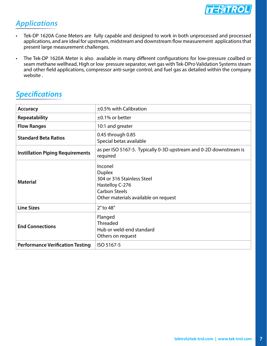![](_page_6_Picture_0.jpeg)

# *Applications*

- Tek-DP 1620A Cone Meters are fully capable and designed to work in both unprocessed and processed applications, and are ideal for upstream, midstream and downstream flow measurement applications that present large measurement challenges.
- The Tek-DP 1620A Meter is also available in many different configurations for low-pressure coalbed or seam methane wellhead, High or low pressure separator, wet gas with Tek-DPro Validation Systems steam and other field applications, compressor anti-surge control, and fuel gas as detailed within the company website .

| <b>Accuracy</b>                         | $\pm$ 0.5% with Calibration                                                                                                               |  |  |  |  |  |  |  |  |
|-----------------------------------------|-------------------------------------------------------------------------------------------------------------------------------------------|--|--|--|--|--|--|--|--|
| <b>Repeatability</b>                    | $\pm$ 0.1% or better                                                                                                                      |  |  |  |  |  |  |  |  |
| <b>Flow Ranges</b>                      | 10:1 and greater                                                                                                                          |  |  |  |  |  |  |  |  |
| <b>Standard Beta Ratios</b>             | 0.45 through 0.85<br>Special betas available                                                                                              |  |  |  |  |  |  |  |  |
| <b>Instillation Piping Requirements</b> | as per ISO 5167-5. Typically 0-3D upstream and 0-2D downstream is<br>required                                                             |  |  |  |  |  |  |  |  |
| <b>Material</b>                         | Inconel<br><b>Duplex</b><br>304 or 316 Stainless Steel<br>Hastelloy C-276<br><b>Carbon Steels</b><br>Other materials available on request |  |  |  |  |  |  |  |  |
| <b>Line Sizes</b>                       | 2" to 48"                                                                                                                                 |  |  |  |  |  |  |  |  |
| <b>End Connections</b>                  | Flanged<br><b>Threaded</b><br>Hub or weld-end standard<br>Others on request                                                               |  |  |  |  |  |  |  |  |
| <b>Performance Verification Testing</b> | ISO 5167-5                                                                                                                                |  |  |  |  |  |  |  |  |

# *Specifications*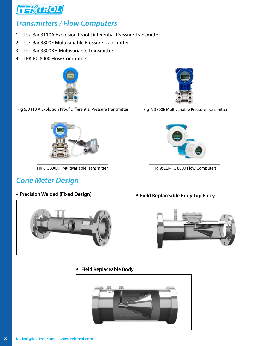![](_page_7_Picture_0.jpeg)

# *Transmitters / Flow Computers*

- 1. Tek-Bar 3110A Explosion Proof Differential Pressure Transmitter
- 2. Tek-Bar 3800E Multivariable Pressure Transmitter
- 3. Tek-Bar 3800XH Multivariable Transmitter
- 4. TEK-FC 8000 Flow Computers

![](_page_7_Picture_6.jpeg)

Fig 6: 3110 A Explosion Proof Differential Pressure Transmitter

![](_page_7_Picture_8.jpeg)

Fig 8: 3800XH Multivariable Transmitter

# *Cone Meter Design*

**Precision Welded (Fixed Design) Conservant Conservant Pressure Pressure Pressure Pressure Pressure Pressure Pressure Pressure Pressure Pressure Pressure Pressure Pressure Pressure Pressure Pressure Pressure Pressure Pre** 

![](_page_7_Picture_12.jpeg)

Fig 7: 3800E Multivariable Pressure Transmitter

![](_page_7_Picture_14.jpeg)

Fig 9: LEK-FC 8000 Flow Computers

![](_page_7_Picture_16.jpeg)

**Field Replaceable Body**

![](_page_7_Picture_18.jpeg)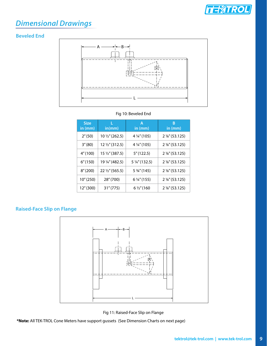![](_page_8_Picture_0.jpeg)

# *Dimensional Drawings*

### **Beveled End**

![](_page_8_Figure_3.jpeg)

### Fig 10: Beveled End

| <b>Size</b><br>in (mm) | L<br>in/mm)               | Α<br>in (mm)            | В<br>in (mm)              |
|------------------------|---------------------------|-------------------------|---------------------------|
| 2''(50)                | 10 1/2" (262.5)           | 4 $\frac{1}{4}$ " (105) | 2 %" (53.125)             |
| 3''(80)                | 12 1/2" (312.5)           | 4 1/4" (105)            | 2 %" (53.125)             |
| 4''(100)               | $15\frac{1}{2}$ " (387.5) | 5''(122.5)              | 2 %" (53.125)             |
| 6''(150)               | 19 ¼" (482.5)             | 5 ¼" (132.5)            | 2 %" (53.125)             |
| 8''(200)               | 22 1/2" (565.5)           | 5 3/4" (145)            | 2 %" (53.125)             |
| 10''(250)              | 28" (700)                 | 6 1/4" (155)            | 2 %" (53.125)             |
| 12" (300)              | 31''(775)                 | 6 1/2" (160             | $2\frac{1}{8}$ " (53.125) |

## **Raised-Face Slip on Flange**

![](_page_8_Figure_7.jpeg)

Fig 11: Raised-Face Slip on Flange

**\*Note:** All TEK-TROL Cone Meters have support gussets (See Dimension Charts on next page)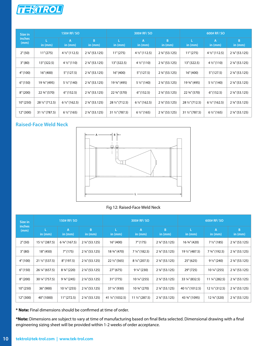![](_page_9_Picture_0.jpeg)

| Size in        |                           | 150# RF/SO             |                             |                           | 300# RF/ SO               |                 | 600# RF/ SO               |                          |               |  |  |
|----------------|---------------------------|------------------------|-----------------------------|---------------------------|---------------------------|-----------------|---------------------------|--------------------------|---------------|--|--|
| inches<br>(mm) | in (mm)                   | A<br>in $(mm)$         | $\overline{B}$<br>in $(mm)$ | L<br>in $(mm)$            | $\overline{A}$<br>in (mm) | B.<br>in $(mm)$ | in (mm)                   | A<br>in (mm)             | B<br>in (mm)  |  |  |
| 2''(50)        | 11''(275)                 | $4\frac{1}{2}$ (112.5) | 2 %" (53.125)               | 11''(275)                 | $4\frac{1}{2}$ (112.5)    | 2 %" (53.125)   | 11''(275)                 | $4\frac{1}{2}$ (112.5)   | 2 %" (53.125) |  |  |
| 3''(80)        | 13" (322.5)               | $4\frac{1}{2}$ (110)   | 2 %" (53.125)               | 13" (322.5)               | $4\frac{1}{2}$ (110)      | 2 %" (53.125)   | 13" (322.5)               | $4\frac{1}{2}$ " (110)   | 2 %" (53.125) |  |  |
| 4" (100)       | 16" (400)                 | 5''(127.5)             | 2 %" (53.125)               | 16" (400)                 | 5''(127.5)                | 2 %" (53.125)   | 16" (400)                 | 5''(127.5)               | 2 %" (53.125) |  |  |
| 6''(150)       | 19 3/4" (495)             | $5\frac{1}{2}$ (140)   | 2 %" (53.125)               | 19 3/4" (495)             | $5\frac{1}{2}$ (140)      | 2 %" (53.125)   | 19 3/4" (495)             | $5\frac{1}{2}$ (140)     | 2 %" (53.125) |  |  |
| 8''(200)       | 22 3/4" (570)             | 6''(152.5)             | 2 %" (53.125)               | 22 3/4" (570)             | 6''(152.5)                | 2 %" (53.125)   | 22 3/4" (570)             | 6''(152.5)               | 2 %" (53.125) |  |  |
| 10" (250)      | 28 1/2" (712.5)           | $6\frac{1}{2}$ (162.5) | 2 %" (53.125)               | 28 1/2" (712.5)           | $6\frac{1}{2}$ " (162.5)  | 2 %" (53.125)   | 28 1/2" (712.5)           | $6\frac{1}{2}$ " (162.5) | 2 %" (53.125) |  |  |
| 12" (300)      | $31\frac{1}{2}$ " (787.5) | $6\frac{1}{2}$ " (165) | 2 %" (53.125)               | $31\frac{1}{2}$ " (787.5) | $6\frac{1}{2}$ " (165)    | 2 %" (53.125)   | $31\frac{1}{2}$ " (787.5) | $6\frac{1}{2}$ " (165)   | 2 %" (53.125) |  |  |

### **Raised-Face Weld Neck**

![](_page_9_Figure_3.jpeg)

### Fig 12: Raised-Face Weld Neck

| Size in        |                 | 150# RF/ SO            |                           |                         | 300# RF/ SO                 |                | 600# RF/SO       |                        |                |  |  |
|----------------|-----------------|------------------------|---------------------------|-------------------------|-----------------------------|----------------|------------------|------------------------|----------------|--|--|
| inches<br>(mm) | in $(mm)$       | A<br>in $(mm)$         | B<br>in $(mm)$            | in $(mm)$               | $\overline{A}$<br>in $(mm)$ | B<br>in $(mm)$ | in $(mm)$        | A<br>in (mm)           | B<br>in $(mm)$ |  |  |
| 2''(50)        | 15 1/2" (387.5) | 6 3/4" (167.5)         | 2 %" (53.125)             | 16''(400)               | 7''(175)                    | 2 %" (53.125)  | 16 3/4" (420)    | $7\frac{1}{2}$ " (185) | 2 %" (53.125)  |  |  |
| 3''(80)        | 18" (450)       | 7''(175)               | $2\frac{1}{8}$ " (53.125) | 18 3/4" (470)           | 7 $\frac{1}{4}$ (182.5)     | 2 %" (53.125)  | 19 1/2" (487.5)  | 7 3/4" (192.5)         | 2 %" (53.125)  |  |  |
| 4" (100)       | 21 1/2" (537.5) | 8''(197.5)             | 2 %" (53.125)             | $22\frac{1}{2}$ " (565) | 8 1/4" (207.5)              | 2 %" (53.125)  | 25''(625)        | $9\frac{1}{2}$ " (240) | 2 %" (53.125)  |  |  |
| 6''(150)       | 26 1/4" (657.5) | 8 3/4" (220)           | $2\frac{1}{8}$ " (53.125) | 27''(675)               | $9\frac{1}{4}$ " (230)      | 2 %" (53.125)  | 29" (725)        | 10 ¼" (255)            | 2 %" (53.125)  |  |  |
| 8''(200)       | 30 1/4" (757.5) | $9\frac{3}{4}$ " (245) | $2\frac{1}{8}$ " (53.125) | 31''(775)               | 10 1/4" (255)               | 2 %" (53.125)  | 33 1/4" (832.5)  | 11 1/4" (282.5)        | 2 %" (53.125)  |  |  |
| 10''(250)      | 36" (900)       | 10 1/4" (255)          | 2 %" (53.125)             | 37 1/4" (930)           | 10 3/4" (270)               | 2 %" (53.125)  | 40 1/2" (1012.5) | 12 1/2" (312.5)        | 2 %" (53.125)  |  |  |
| 12''(300)      | 40" (1000)      | 11''(272.5)            | 2 %" (53.125)             | 41 1/4" (1032.5)        | $11\frac{1}{2}$ " (287.5)   | 2 %" (53.125)  | 43 3/4" (1095)   | 12 3/4" (320)          | 2 %" (53.125)  |  |  |

**\* Note:** Final dimensions should be confirmed at time of order.

**\*Note:** Dimensions are subject to vary at time of manufacturing based on final Beta selected. Dimensional drawing with a final engineering sizing sheet will be provided within 1-2 weeks of order acceptance.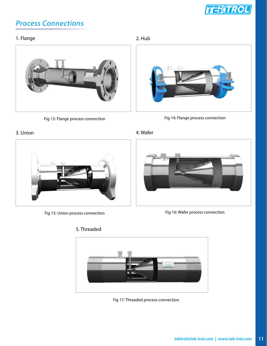![](_page_10_Picture_0.jpeg)

# *Process Connections*

### 1. Flange

![](_page_10_Picture_3.jpeg)

Fig 13: Flange process connection

# 2. Hub

![](_page_10_Figure_6.jpeg)

### 3. Union

![](_page_10_Picture_8.jpeg)

Fig 15: Union process connection

![](_page_10_Figure_10.jpeg)

![](_page_10_Picture_11.jpeg)

### Fig 16: Wafer process connection

![](_page_10_Figure_13.jpeg)

![](_page_10_Picture_14.jpeg)

Fig 17: Threaded process connection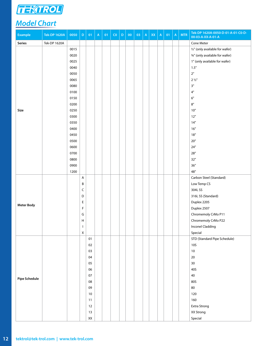![](_page_11_Picture_0.jpeg)

# *Model Chart*

| Example              | <b>Tek-DP 1620A</b> | 0050 | $\mathsf D$ | 01                     | $\mathsf A$ | 01 | CO | $\mathsf D$ | $00\,$ | 03 | $\mathsf A$ | $\mathsf{XX}$ | $\mathsf{A}$ | 01 | $\boldsymbol{\mathsf{A}}$ | <b>MTR</b> | Tek-DP 1620A-0050-D-01-A-01-C0-D-<br>00-03-A-XX-A-01-A |
|----------------------|---------------------|------|-------------|------------------------|-------------|----|----|-------------|--------|----|-------------|---------------|--------------|----|---------------------------|------------|--------------------------------------------------------|
| Series               | Tek-DP 1620A        |      |             |                        |             |    |    |             |        |    |             |               |              |    |                           |            | Cone Meter                                             |
|                      |                     | 0015 |             |                        |             |    |    |             |        |    |             |               |              |    |                           |            | 1/2" (only available for wafer)                        |
|                      |                     | 0020 |             |                        |             |    |    |             |        |    |             |               |              |    |                           |            | 3/4" (only available for wafer)                        |
|                      |                     | 0025 |             |                        |             |    |    |             |        |    |             |               |              |    |                           |            | 1" (only available for wafer)                          |
|                      |                     | 0040 |             |                        |             |    |    |             |        |    |             |               |              |    |                           |            | 1.5"                                                   |
|                      |                     | 0050 |             |                        |             |    |    |             |        |    |             |               |              |    |                           |            | $2^{\prime\prime}$                                     |
|                      |                     | 0065 |             |                        |             |    |    |             |        |    |             |               |              |    |                           |            | $2\,\mathrm{\%}$                                       |
|                      |                     | 0080 |             |                        |             |    |    |             |        |    |             |               |              |    |                           |            | $3"$                                                   |
|                      |                     | 0100 |             |                        |             |    |    |             |        |    |             |               |              |    |                           |            | $4"$                                                   |
|                      |                     | 0150 |             |                        |             |    |    |             |        |    |             |               |              |    |                           |            | $6"$                                                   |
|                      |                     | 0200 |             |                        |             |    |    |             |        |    |             |               |              |    |                           |            | $8"$                                                   |
| Size                 |                     | 0250 |             |                        |             |    |    |             |        |    |             |               |              |    |                           |            | $10"$                                                  |
|                      |                     | 0300 |             |                        |             |    |    |             |        |    |             |               |              |    |                           |            | 12"                                                    |
|                      |                     | 0350 |             |                        |             |    |    |             |        |    |             |               |              |    |                           |            | 14"                                                    |
|                      |                     | 0400 |             |                        |             |    |    |             |        |    |             |               |              |    |                           |            | 16"                                                    |
|                      |                     | 0450 |             |                        |             |    |    |             |        |    |             |               |              |    |                           |            | 18"                                                    |
|                      |                     | 0500 |             |                        |             |    |    |             |        |    |             |               |              |    |                           |            | $20"$                                                  |
|                      |                     | 0600 |             |                        |             |    |    |             |        |    |             |               |              |    |                           |            | 24"                                                    |
|                      |                     | 0700 |             |                        |             |    |    |             |        |    |             |               |              |    |                           |            | $28"$                                                  |
|                      |                     | 0800 |             |                        |             |    |    |             |        |    |             |               |              |    |                           |            | 32"                                                    |
|                      |                     | 0900 |             |                        |             |    |    |             |        |    |             |               |              |    |                           |            | 36"                                                    |
|                      |                     | 1200 |             |                        |             |    |    |             |        |    |             |               |              |    |                           |            | 48"                                                    |
|                      |                     |      | A           |                        |             |    |    |             |        |    |             |               |              |    |                           |            | Carbon Steel (Standard)                                |
|                      |                     |      | B           |                        |             |    |    |             |        |    |             |               |              |    |                           |            | Low Temp CS                                            |
|                      |                     |      | C           |                        |             |    |    |             |        |    |             |               |              |    |                           |            | 304L SS                                                |
|                      |                     |      | D           |                        |             |    |    |             |        |    |             |               |              |    |                           |            | 316L SS (Standard)                                     |
|                      |                     |      | E           |                        |             |    |    |             |        |    |             |               |              |    |                           |            | Duplex 2205                                            |
| <b>Meter Body</b>    |                     |      | F           |                        |             |    |    |             |        |    |             |               |              |    |                           |            |                                                        |
|                      |                     |      |             |                        |             |    |    |             |        |    |             |               |              |    |                           |            | Duplex 2507                                            |
|                      |                     |      | G           |                        |             |    |    |             |        |    |             |               |              |    |                           |            | Chromemoly CrMo P11                                    |
|                      |                     |      | н           |                        |             |    |    |             |        |    |             |               |              |    |                           |            | Chromemoly CrMo P22                                    |
|                      |                     |      | J.          |                        |             |    |    |             |        |    |             |               |              |    |                           |            | Inconel Cladding                                       |
|                      |                     |      | $\mathsf X$ |                        |             |    |    |             |        |    |             |               |              |    |                           |            | Special                                                |
|                      |                     |      |             | 01                     |             |    |    |             |        |    |             |               |              |    |                           |            | STD (Standard Pipe Schedule)                           |
|                      |                     |      |             | 02                     |             |    |    |             |        |    |             |               |              |    |                           |            | <b>10S</b>                                             |
|                      |                     |      |             | 03                     |             |    |    |             |        |    |             |               |              |    |                           |            | 10                                                     |
|                      |                     |      |             | 04                     |             |    |    |             |        |    |             |               |              |    |                           |            | 20                                                     |
|                      |                     |      |             | 05                     |             |    |    |             |        |    |             |               |              |    |                           |            | 30                                                     |
|                      |                     |      |             | 06                     |             |    |    |             |        |    |             |               |              |    |                           |            | 40S                                                    |
| <b>Pipe Schedule</b> |                     |      |             | 07                     |             |    |    |             |        |    |             |               |              |    |                           |            | 40                                                     |
|                      |                     |      |             | 08                     |             |    |    |             |        |    |             |               |              |    |                           |            | 80S                                                    |
|                      |                     |      |             | 09                     |             |    |    |             |        |    |             |               |              |    |                           |            | 80                                                     |
|                      |                     |      |             | 10                     |             |    |    |             |        |    |             |               |              |    |                           |            | 120                                                    |
|                      |                     |      |             | 11                     |             |    |    |             |        |    |             |               |              |    |                           |            | 160                                                    |
|                      |                     |      |             | 12                     |             |    |    |             |        |    |             |               |              |    |                           |            | <b>Extra Strong</b>                                    |
|                      |                     |      |             | 13                     |             |    |    |             |        |    |             |               |              |    |                           |            | XX Strong                                              |
|                      |                     |      |             | $\mathsf{X}\mathsf{X}$ |             |    |    |             |        |    |             |               |              |    |                           |            | Special                                                |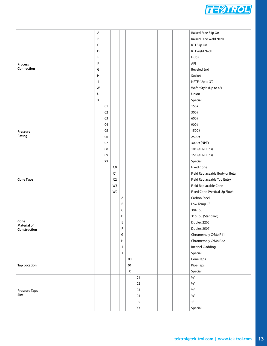![](_page_12_Picture_0.jpeg)

|                                    |  |  | A            |    |                |              |    |    |  |  |  | Raised Face Slip On            |
|------------------------------------|--|--|--------------|----|----------------|--------------|----|----|--|--|--|--------------------------------|
|                                    |  |  | В            |    |                |              |    |    |  |  |  | Raised Face Weld Neck          |
|                                    |  |  | C            |    |                |              |    |    |  |  |  | RTJ Slip On                    |
|                                    |  |  | D            |    |                |              |    |    |  |  |  | RTJ Weld Neck                  |
|                                    |  |  | Е            |    |                |              |    |    |  |  |  | Hubs                           |
| Process                            |  |  | F            |    |                |              |    |    |  |  |  | API                            |
| Connection                         |  |  | G            |    |                |              |    |    |  |  |  | <b>Beveled End</b>             |
|                                    |  |  | H            |    |                |              |    |    |  |  |  | Socket                         |
|                                    |  |  | $\mathbf{I}$ |    |                |              |    |    |  |  |  | NPTF (Up to 3")                |
|                                    |  |  | W            |    |                |              |    |    |  |  |  | Wafer Style (Up to 4")         |
|                                    |  |  | $\sf U$      |    |                |              |    |    |  |  |  | Union                          |
|                                    |  |  | $\mathsf X$  |    |                |              |    |    |  |  |  | Special                        |
|                                    |  |  |              | 01 |                |              |    |    |  |  |  | 150#                           |
|                                    |  |  |              | 02 |                |              |    |    |  |  |  | 300#                           |
|                                    |  |  |              | 03 |                |              |    |    |  |  |  | 600#                           |
|                                    |  |  |              | 04 |                |              |    |    |  |  |  | 900#                           |
|                                    |  |  |              | 05 |                |              |    |    |  |  |  | 1500#                          |
| Pressure<br>Rating                 |  |  |              | 06 |                |              |    |    |  |  |  | 2500#                          |
|                                    |  |  |              |    |                |              |    |    |  |  |  |                                |
|                                    |  |  |              | 07 |                |              |    |    |  |  |  | 3000# (NPT)                    |
|                                    |  |  |              | 08 |                |              |    |    |  |  |  | 10K (API/Hubs)                 |
|                                    |  |  |              | 09 |                |              |    |    |  |  |  | 15K (API/Hubs)                 |
|                                    |  |  |              | XX |                |              |    |    |  |  |  | Special                        |
|                                    |  |  |              |    | C <sub>0</sub> |              |    |    |  |  |  | <b>Fixed Cone</b>              |
|                                    |  |  |              |    | C1             |              |    |    |  |  |  | Field Replaceable Body or Beta |
| <b>Cone Type</b>                   |  |  |              |    | C <sub>2</sub> |              |    |    |  |  |  | Field Replaceable Top Entry    |
|                                    |  |  |              |    | W <sub>3</sub> |              |    |    |  |  |  | Field Replacable Cone          |
|                                    |  |  |              |    | W <sub>0</sub> |              |    |    |  |  |  | Fixed Cone (Vertical Up Flow)  |
|                                    |  |  |              |    |                | $\mathsf{A}$ |    |    |  |  |  | Carbon Steel                   |
|                                    |  |  |              |    |                | В            |    |    |  |  |  | Low Temp CS                    |
|                                    |  |  |              |    |                | C            |    |    |  |  |  | 304L SS                        |
|                                    |  |  |              |    |                | D            |    |    |  |  |  | 316L SS (Standard)             |
| Cone                               |  |  |              |    |                | Ε            |    |    |  |  |  | Duplex 2205                    |
| <b>Material of</b><br>Construction |  |  |              |    |                | F            |    |    |  |  |  | Duplex 2507                    |
|                                    |  |  |              |    |                | G            |    |    |  |  |  | Chromemoly CrMo P11            |
|                                    |  |  |              |    |                | H            |    |    |  |  |  | Chromemoly CrMo P22            |
|                                    |  |  |              |    |                | T            |    |    |  |  |  | Inconel Cladding               |
|                                    |  |  |              |    |                | $\mathsf X$  |    |    |  |  |  | Special                        |
|                                    |  |  |              |    |                |              | 00 |    |  |  |  | Cone Taps                      |
| <b>Tap Location</b>                |  |  |              |    |                |              | 01 |    |  |  |  | Pipe Taps                      |
|                                    |  |  |              |    |                |              |    |    |  |  |  |                                |
|                                    |  |  |              |    |                |              | X  |    |  |  |  | Special<br>$1/4"$              |
|                                    |  |  |              |    |                |              |    | 01 |  |  |  |                                |
|                                    |  |  |              |    |                |              |    | 02 |  |  |  | $3/8"$                         |
| <b>Pressure Taps</b>               |  |  |              |    |                |              |    | 03 |  |  |  | $1/2$ "                        |
| Size                               |  |  |              |    |                |              |    | 04 |  |  |  | $3/4$ "                        |
|                                    |  |  |              |    |                |              |    | 05 |  |  |  | $1"$                           |
|                                    |  |  |              |    |                |              |    | XX |  |  |  | Special                        |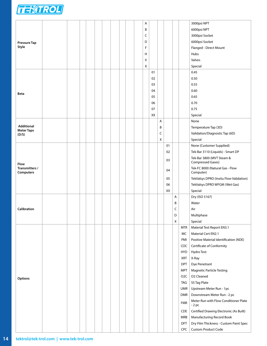![](_page_13_Picture_0.jpeg)

|                                        |  |  |  |  |  | A      |    |   |    |   |                  | 3000psi NPT                                      |
|----------------------------------------|--|--|--|--|--|--------|----|---|----|---|------------------|--------------------------------------------------|
|                                        |  |  |  |  |  | B      |    |   |    |   |                  | 6000psi NPT                                      |
|                                        |  |  |  |  |  | C      |    |   |    |   |                  | 3000psi Socket                                   |
| <b>Pressure Tap</b>                    |  |  |  |  |  | D      |    |   |    |   |                  | 6000psi Socket                                   |
| Style                                  |  |  |  |  |  | F      |    |   |    |   |                  | Flanged - Direct Mount                           |
|                                        |  |  |  |  |  | н      |    |   |    |   |                  | Hubs                                             |
|                                        |  |  |  |  |  | $\vee$ |    |   |    |   |                  | Valves                                           |
|                                        |  |  |  |  |  | X      |    |   |    |   |                  | Special                                          |
|                                        |  |  |  |  |  |        | 01 |   |    |   |                  | 0.45                                             |
|                                        |  |  |  |  |  |        | 02 |   |    |   |                  | 0.50                                             |
|                                        |  |  |  |  |  |        |    |   |    |   |                  |                                                  |
|                                        |  |  |  |  |  |        | 03 |   |    |   |                  | 0.55                                             |
| Beta                                   |  |  |  |  |  |        | 04 |   |    |   |                  | 0.60                                             |
|                                        |  |  |  |  |  |        | 05 |   |    |   |                  | 0.65                                             |
|                                        |  |  |  |  |  |        | 06 |   |    |   |                  | 0.70                                             |
|                                        |  |  |  |  |  |        | 07 |   |    |   |                  | 0.75                                             |
|                                        |  |  |  |  |  |        | XX |   |    |   |                  | Special                                          |
|                                        |  |  |  |  |  |        |    | A |    |   |                  | None                                             |
| <b>Additional</b><br><b>Meter Taps</b> |  |  |  |  |  |        |    | В |    |   |                  | Temperature Tap (3D)                             |
| (D/S)                                  |  |  |  |  |  |        |    | C |    |   |                  | Validation/Diagnostic Tap (6D)                   |
|                                        |  |  |  |  |  |        |    | X |    |   |                  | Special                                          |
|                                        |  |  |  |  |  |        |    |   | 01 |   |                  | None (Customer Supplied)                         |
|                                        |  |  |  |  |  |        |    |   | 02 |   |                  | Tek-Bar 3110 (Liquids) - Smart DP                |
| Flow                                   |  |  |  |  |  |        |    |   | 03 |   |                  | Tek-Bar 3800 (MVT Steam &<br>Compressed Gases)   |
| Transmitters /<br>Computers            |  |  |  |  |  |        |    |   | 04 |   |                  | Tek-FC 8000 (Natural Gas - Flow<br>Computer)     |
|                                        |  |  |  |  |  |        |    |   | 05 |   |                  | TekValsys DPRO (Insitu Flow Validation)          |
|                                        |  |  |  |  |  |        |    |   | 06 |   |                  | TekValsys DPRO WFGM (Wet Gas)                    |
|                                        |  |  |  |  |  |        |    |   | XX |   |                  | Special                                          |
|                                        |  |  |  |  |  |        |    |   |    | Α |                  | Dry (ISO 5167)                                   |
|                                        |  |  |  |  |  |        |    |   |    | B |                  | Water                                            |
| Calibration                            |  |  |  |  |  |        |    |   |    | C |                  | Air                                              |
|                                        |  |  |  |  |  |        |    |   |    | D |                  | Multiphase                                       |
|                                        |  |  |  |  |  |        |    |   |    |   |                  |                                                  |
|                                        |  |  |  |  |  |        |    |   |    | X |                  | Special                                          |
|                                        |  |  |  |  |  |        |    |   |    |   | MTR              | Material Test Report EN3.1                       |
|                                        |  |  |  |  |  |        |    |   |    |   | MC               | Material Cert EN2.1                              |
|                                        |  |  |  |  |  |        |    |   |    |   | PMI              | Positive Material Identification (NDE)           |
|                                        |  |  |  |  |  |        |    |   |    |   | COC              | Certificate of Conformity                        |
|                                        |  |  |  |  |  |        |    |   |    |   | <b>HYD</b>       | Hydro Test                                       |
|                                        |  |  |  |  |  |        |    |   |    |   | XRT              | X-Ray                                            |
|                                        |  |  |  |  |  |        |    |   |    |   | <b>DPT</b>       | Dye Penetrant                                    |
|                                        |  |  |  |  |  |        |    |   |    |   | <b>MPT</b>       | <b>Magnetic Particle Testing</b>                 |
| Options                                |  |  |  |  |  |        |    |   |    |   | O <sub>2</sub> C | O2 Cleaned                                       |
|                                        |  |  |  |  |  |        |    |   |    |   | TAG              | SS Tag Plate                                     |
|                                        |  |  |  |  |  |        |    |   |    |   | UMR              | Upstream Meter Run - 1pc                         |
|                                        |  |  |  |  |  |        |    |   |    |   | <b>DMR</b>       | Downstream Meter Run - 2 pc                      |
|                                        |  |  |  |  |  |        |    |   |    |   | FMR              | Meter Run with Flow Conditioner Plate<br>$-2$ pc |
|                                        |  |  |  |  |  |        |    |   |    |   | <b>CDE</b>       | Certified Drawing Electronic (As Built)          |
|                                        |  |  |  |  |  |        |    |   |    |   |                  | Manufacturing Record Book                        |
|                                        |  |  |  |  |  |        |    |   |    |   | MRB              |                                                  |
|                                        |  |  |  |  |  |        |    |   |    |   | <b>DFT</b>       | Dry Film Thickness - Custom Paint Spec           |
|                                        |  |  |  |  |  |        |    |   |    |   | CPC              | <b>Custom Product Code</b>                       |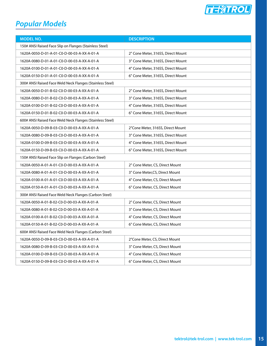![](_page_14_Picture_0.jpeg)

# *Popular Models*

| <b>MODEL NO.</b>                                          | <b>DESCRIPTION</b>                 |  |  |  |  |  |  |  |  |
|-----------------------------------------------------------|------------------------------------|--|--|--|--|--|--|--|--|
| 150# ANSI Raised Face Slip on Flanges (Stainless Steel)   |                                    |  |  |  |  |  |  |  |  |
| 1620A-0050-D-01-A-01-C0-D-00-03-A-XX-A-01-A               | 2" Cone Meter, 316SS, Direct Mount |  |  |  |  |  |  |  |  |
| 1620A-0080-D-01-A-01-C0-D-00-03-A-XX-A-01-A               | 3" Cone Meter, 316SS, Direct Mount |  |  |  |  |  |  |  |  |
| 1620A-0100-D-01-A-01-C0-D-00-03-A-XX-A-01-A               | 4" Cone Meter, 316SS, Direct Mount |  |  |  |  |  |  |  |  |
| 1620A-0150-D-01-A-01-C0-D-00-03-A-XX-A-01-A               | 6" Cone Meter, 316SS, Direct Mount |  |  |  |  |  |  |  |  |
| 300# ANSI Raised Face Weld Neck Flanges (Stainless Steel) |                                    |  |  |  |  |  |  |  |  |
| 1620A-0050-D-01-B-02-C0-D-00-03-A-XX-A-01-A               | 2" Cone Meter, 316SS, Direct Mount |  |  |  |  |  |  |  |  |
| 1620A-0080-D-01-B-02-C0-D-00-03-A-XX-A-01-A               | 3" Cone Meter, 316SS, Direct Mount |  |  |  |  |  |  |  |  |
| 1620A-0100-D-01-B-02-C0-D-00-03-A-XX-A-01-A               | 4" Cone Meter, 316SS, Direct Mount |  |  |  |  |  |  |  |  |
| 1620A-0150-D-01-B-02-C0-D-00-03-A-XX-A-01-A               | 6" Cone Meter, 316SS, Direct Mount |  |  |  |  |  |  |  |  |
| 600# ANSI Raised Face Weld Neck Flanges (Stainless Steel) |                                    |  |  |  |  |  |  |  |  |
| 1620A-0050-D-09-B-03-C0-D-00-03-A-XX-A-01-A               | 2"Cone Meter, 316SS, Direct Mount  |  |  |  |  |  |  |  |  |
| 1620A-0080-D-09-B-03-C0-D-00-03-A-XX-A-01-A               | 3" Cone Meter, 316SS, Direct Mount |  |  |  |  |  |  |  |  |
| 1620A-0100-D-09-B-03-C0-D-00-03-A-XX-A-01-A               | 4" Cone Meter, 316SS, Direct Mount |  |  |  |  |  |  |  |  |
| 1620A-0150-D-09-B-03-C0-D-00-03-A-XX-A-01-A               | 6" Cone Meter, 316SS, Direct Mount |  |  |  |  |  |  |  |  |
| 150# ANSI Raised Face Slip on Flanges (Carbon Steel)      |                                    |  |  |  |  |  |  |  |  |
| 1620A-0050-A-01-A-01-C0-D-00-03-A-XX-A-01-A               | 2" Cone Meter, CS, Direct Mount    |  |  |  |  |  |  |  |  |
| 1620A-0080-A-01-A-01-C0-D-00-03-A-XX-A-01-A               | 3" Cone Meter, CS, Direct Mount    |  |  |  |  |  |  |  |  |
| 1620A-0100-A-01-A-01-C0-D-00-03-A-XX-A-01-A               | 4" Cone Meter, CS, Direct Mount    |  |  |  |  |  |  |  |  |
| 1620A-0150-A-01-A-01-C0-D-00-03-A-XX-A-01-A               | 6" Cone Meter, CS, Direct Mount    |  |  |  |  |  |  |  |  |
| 300# ANSI Raised Face Weld Neck Flanges (Carbon Steel)    |                                    |  |  |  |  |  |  |  |  |
| 1620A-0050-A-01-B-02-C0-D-00-03-A-XX-A-01-A               | 2" Cone Meter, CS, Direct Mount    |  |  |  |  |  |  |  |  |
| 1620A-0080-A-01-B-02-C0-D-00-03-A-XX-A-01-A               | 3" Cone Meter, CS, Direct Mount    |  |  |  |  |  |  |  |  |
| 1620A-0100-A-01-B-02-C0-D-00-03-A-XX-A-01-A               | 4" Cone Meter, CS, Direct Mount    |  |  |  |  |  |  |  |  |
| 1620A-0150-A-01-B-02-C0-D-00-03-A-XX-A-01-A               | 6" Cone Meter, CS, Direct Mount    |  |  |  |  |  |  |  |  |
| 600# ANSI Raised Face Weld Neck Flanges (Carbon Steel)    |                                    |  |  |  |  |  |  |  |  |
| 1620A-0050-D-09-B-03-C0-D-00-03-A-XX-A-01-A               | 2"Cone Meter, CS, Direct Mount     |  |  |  |  |  |  |  |  |
| 1620A-0080-D-09-B-03-C0-D-00-03-A-XX-A-01-A               | 3" Cone Meter, CS, Direct Mount    |  |  |  |  |  |  |  |  |
| 1620A-0100-D-09-B-03-C0-D-00-03-A-XX-A-01-A               | 4" Cone Meter, CS, Direct Mount    |  |  |  |  |  |  |  |  |
| 1620A-0150-D-09-B-03-C0-D-00-03-A-XX-A-01-A               | 6" Cone Meter, CS, Direct Mount    |  |  |  |  |  |  |  |  |